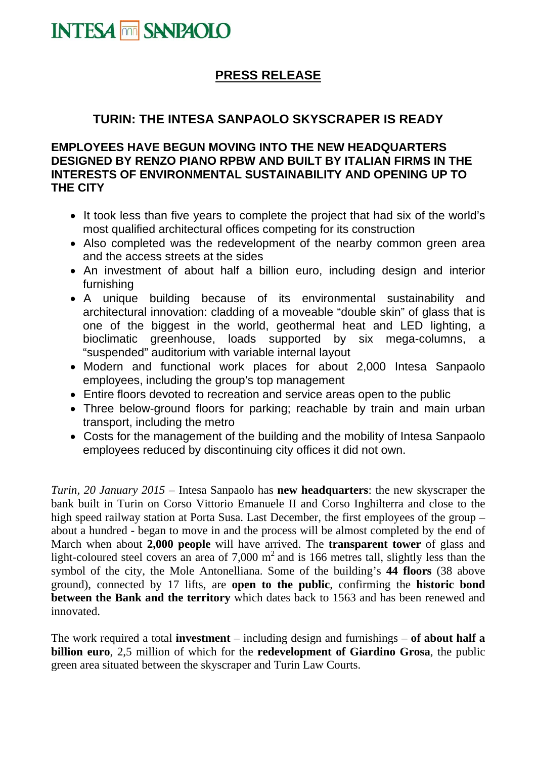

## **PRESS RELEASE**

## **TURIN: THE INTESA SANPAOLO SKYSCRAPER IS READY**

## **EMPLOYEES HAVE BEGUN MOVING INTO THE NEW HEADQUARTERS DESIGNED BY RENZO PIANO RPBW AND BUILT BY ITALIAN FIRMS IN THE INTERESTS OF ENVIRONMENTAL SUSTAINABILITY AND OPENING UP TO THE CITY**

- It took less than five years to complete the project that had six of the world's most qualified architectural offices competing for its construction
- Also completed was the redevelopment of the nearby common green area and the access streets at the sides
- An investment of about half a billion euro, including design and interior furnishing
- A unique building because of its environmental sustainability and architectural innovation: cladding of a moveable "double skin" of glass that is one of the biggest in the world, geothermal heat and LED lighting, a bioclimatic greenhouse, loads supported by six mega-columns, a "suspended" auditorium with variable internal layout
- Modern and functional work places for about 2,000 Intesa Sanpaolo employees, including the group's top management
- Entire floors devoted to recreation and service areas open to the public
- Three below-ground floors for parking; reachable by train and main urban transport, including the metro
- Costs for the management of the building and the mobility of Intesa Sanpaolo employees reduced by discontinuing city offices it did not own.

*Turin, 20 January 2015 –* Intesa Sanpaolo has **new headquarters**: the new skyscraper the bank built in Turin on Corso Vittorio Emanuele II and Corso Inghilterra and close to the high speed railway station at Porta Susa. Last December, the first employees of the group – about a hundred - began to move in and the process will be almost completed by the end of March when about **2,000 people** will have arrived. The **transparent tower** of glass and light-coloured steel covers an area of  $7,000 \text{ m}^2$  and is 166 metres tall, slightly less than the symbol of the city, the Mole Antonelliana. Some of the building's **44 floors** (38 above ground), connected by 17 lifts, are **open to the public**, confirming the **historic bond between the Bank and the territory** which dates back to 1563 and has been renewed and innovated.

The work required a total **investment** – including design and furnishings – **of about half a billion euro**, 2,5 million of which for the **redevelopment of Giardino Grosa**, the public green area situated between the skyscraper and Turin Law Courts.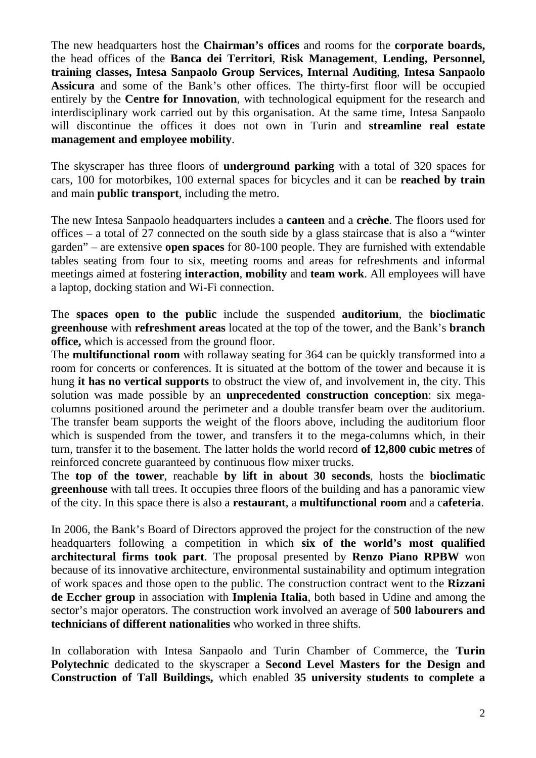The new headquarters host the **Chairman's offices** and rooms for the **corporate boards,**  the head offices of the **Banca dei Territori**, **Risk Management**, **Lending, Personnel, training classes, Intesa Sanpaolo Group Services, Internal Auditing**, **Intesa Sanpaolo Assicura** and some of the Bank's other offices. The thirty-first floor will be occupied entirely by the **Centre for Innovation**, with technological equipment for the research and interdisciplinary work carried out by this organisation. At the same time, Intesa Sanpaolo will discontinue the offices it does not own in Turin and **streamline real estate management and employee mobility**.

The skyscraper has three floors of **underground parking** with a total of 320 spaces for cars, 100 for motorbikes, 100 external spaces for bicycles and it can be **reached by train**  and main **public transport**, including the metro.

The new Intesa Sanpaolo headquarters includes a **canteen** and a **crèche**. The floors used for offices – a total of 27 connected on the south side by a glass staircase that is also a "winter garden" – are extensive **open spaces** for 80-100 people. They are furnished with extendable tables seating from four to six, meeting rooms and areas for refreshments and informal meetings aimed at fostering **interaction**, **mobility** and **team work**. All employees will have a laptop, docking station and Wi-Fi connection.

The **spaces open to the public** include the suspended **auditorium**, the **bioclimatic greenhouse** with **refreshment areas** located at the top of the tower, and the Bank's **branch office,** which is accessed from the ground floor.

The **multifunctional room** with rollaway seating for 364 can be quickly transformed into a room for concerts or conferences. It is situated at the bottom of the tower and because it is hung **it has no vertical supports** to obstruct the view of, and involvement in, the city. This solution was made possible by an **unprecedented construction conception**: six megacolumns positioned around the perimeter and a double transfer beam over the auditorium. The transfer beam supports the weight of the floors above, including the auditorium floor which is suspended from the tower, and transfers it to the mega-columns which, in their turn, transfer it to the basement. The latter holds the world record **of 12,800 cubic metres** of reinforced concrete guaranteed by continuous flow mixer trucks.

The **top of the tower**, reachable **by lift in about 30 seconds**, hosts the **bioclimatic greenhouse** with tall trees. It occupies three floors of the building and has a panoramic view of the city. In this space there is also a **restaurant**, a **multifunctional room** and a c**afeteria**.

In 2006, the Bank's Board of Directors approved the project for the construction of the new headquarters following a competition in which **six of the world's most qualified architectural firms took part**. The proposal presented by **Renzo Piano RPBW** won because of its innovative architecture, environmental sustainability and optimum integration of work spaces and those open to the public. The construction contract went to the **Rizzani de Eccher group** in association with **Implenia Italia**, both based in Udine and among the sector's major operators. The construction work involved an average of **500 labourers and technicians of different nationalities** who worked in three shifts.

In collaboration with Intesa Sanpaolo and Turin Chamber of Commerce, the **Turin Polytechnic** dedicated to the skyscraper a **Second Level Masters for the Design and Construction of Tall Buildings,** which enabled **35 university students to complete a**